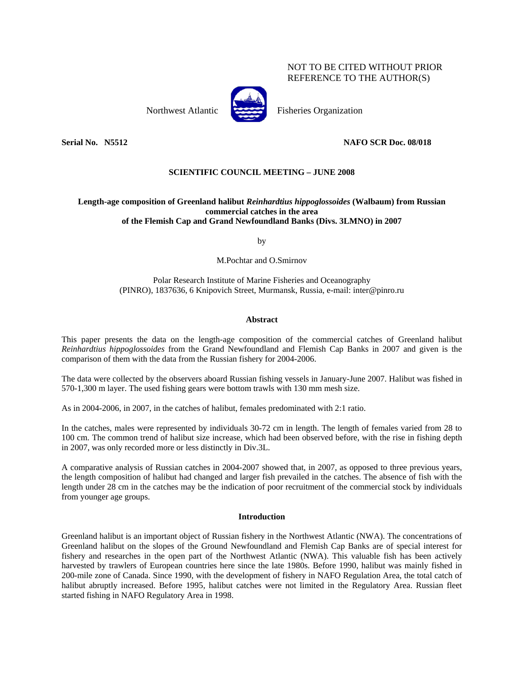# NOT TO BE CITED WITHOUT PRIOR REFERENCE TO THE AUTHOR(S)



Northwest Atlantic Fisheries Organization

# **Serial No. N5512 NAFO SCR Doc. 08/018**

# **SCIENTIFIC COUNCIL MEETING – JUNE 2008**

# **Length-age composition of Greenland halibut** *Reinhardtius hippoglossoides* **(Walbaum) from Russian commercial catches in the area of the Flemish Cap and Grand Newfoundland Banks (Divs. 3LMNO) in 2007**

by

M.Pochtar and O.Smirnov

Polar Research Institute of Marine Fisheries and Oceanography (PINRO), 1837636, 6 Knipovich Street, Murmansk, Russia, e-mail: inter@pinro.ru

# **Abstract**

This paper presents the data on the length-age composition of the commercial catches of Greenland halibut *Reinhardtius hippoglossoides* from the Grand Newfoundland and Flemish Cap Banks in 2007 and given is the comparison of them with the data from the Russian fishery for 2004-2006.

The data were collected by the observers aboard Russian fishing vessels in January-June 2007. Halibut was fished in 570-1,300 m layer. The used fishing gears were bottom trawls with 130 mm mesh size.

As in 2004-2006, in 2007, in the catches of halibut, females predominated with 2:1 ratio.

In the catches, males were represented by individuals 30-72 cm in length. The length of females varied from 28 to 100 cm. The common trend of halibut size increase, which had been observed before, with the rise in fishing depth in 2007, was only recorded more or less distinctly in Div.3L.

A comparative analysis of Russian catches in 2004-2007 showed that, in 2007, as opposed to three previous years, the length composition of halibut had changed and larger fish prevailed in the catches. The absence of fish with the length under 28 cm in the catches may be the indication of poor recruitment of the commercial stock by individuals from younger age groups.

## **Introduction**

Greenland halibut is an important object of Russian fishery in the Northwest Atlantic (NWA). The concentrations of Greenland halibut on the slopes of the Ground Newfoundland and Flemish Cap Banks are of special interest for fishery and researches in the open part of the Northwest Atlantic (NWA). This valuable fish has been actively harvested by trawlers of European countries here since the late 1980s. Before 1990, halibut was mainly fished in 200-mile zone of Canada. Since 1990, with the development of fishery in NAFO Regulation Area, the total catch of halibut abruptly increased. Before 1995, halibut catches were not limited in the Regulatory Area. Russian fleet started fishing in NAFO Regulatory Area in 1998.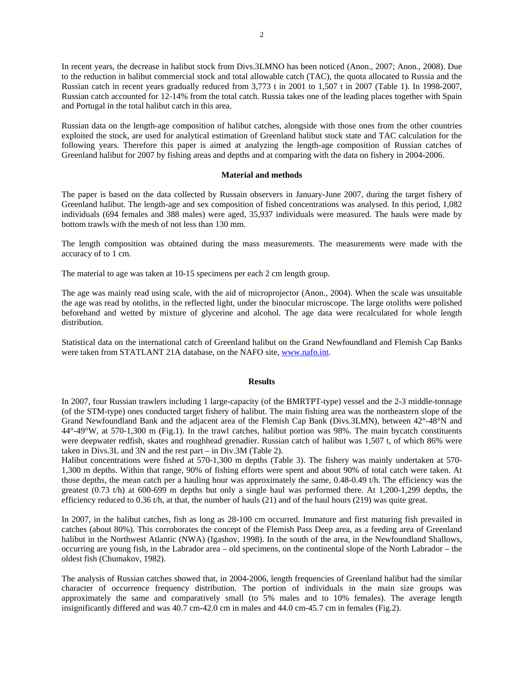In recent years, the decrease in halibut stock from Divs.3LMNO has been noticed (Anon., 2007; Anon., 2008). Due to the reduction in halibut commercial stock and total allowable catch (TAC), the quota allocated to Russia and the Russian catch in recent years gradually reduced from 3,773 t in 2001 to 1,507 t in 2007 (Table 1). In 1998-2007, Russian catch accounted for 12-14% from the total catch. Russia takes one of the leading places together with Spain and Portugal in the total halibut catch in this area.

Russian data on the length-age composition of halibut catches, alongside with those ones from the other countries exploited the stock, are used for analytical estimation of Greenland halibut stock state and TAC calculation for the following years. Therefore this paper is aimed at analyzing the length-age composition of Russian catches of Greenland halibut for 2007 by fishing areas and depths and at comparing with the data on fishery in 2004-2006.

## **Material and methods**

The paper is based on the data collected by Russain observers in January-June 2007, during the target fishery of Greenland halibut. The length-age and sex composition of fished concentrations was analysed. In this period, 1,082 individuals (694 females and 388 males) were aged, 35,937 individuals were measured. The hauls were made by bottom trawls with the mesh of not less than 130 mm.

The length composition was obtained during the mass measurements. The measurements were made with the accuracy of to 1 cm.

The material to age was taken at 10-15 specimens per each 2 cm length group.

The age was mainly read using scale, with the aid of microprojector (Anon., 2004). When the scale was unsuitable the age was read by otoliths, in the reflected light, under the binocular microscope. The large otoliths were polished beforehand and wetted by mixture of glycerine and alcohol. The age data were recalculated for whole length distribution.

Statistical data on the international catch of Greenland halibut on the Grand Newfoundland and Flemish Cap Banks were taken from STATLANT 21A database, on the NAFO site, www.nafo.int.

#### **Results**

In 2007, four Russian trawlers including 1 large-capacity (of the BMRTPT-type) vessel and the 2-3 middle-tonnage (of the STM-type) ones conducted target fishery of halibut. The main fishing area was the northeastern slope of the Grand Newfoundland Bank and the adjacent area of the Flemish Cap Bank (Divs.3LMN), between 42°-48°N and 44°-49°W, at 570-1,300 m (Fig.1). In the trawl catches, halibut portion was 98%. The main bycatch constituents were deepwater redfish, skates and roughhead grenadier. Russian catch of halibut was 1,507 t, of which 86% were taken in Divs.3L and 3N and the rest part – in Div.3M (Table 2).

Halibut concentrations were fished at 570-1,300 m depths (Table 3). The fishery was mainly undertaken at 570- 1,300 m depths. Within that range, 90% of fishing efforts were spent and about 90% of total catch were taken. At those depths, the mean catch per a hauling hour was approximately the same, 0.48-0.49 t/h. The efficiency was the greatest (0.73 t/h) at 600-699 m depths but only a single haul was performed there. At 1,200-1,299 depths, the efficiency reduced to 0.36 t/h, at that, the number of hauls (21) and of the haul hours (219) was quite great.

In 2007, in the halibut catches, fish as long as 28-100 cm occurred. Immature and first maturing fish prevailed in catches (about 80%). This corroborates the concept of the Flemish Pass Deep area, as a feeding area of Greenland halibut in the Northwest Atlantic (NWA) (Igashov, 1998). In the south of the area, in the Newfoundland Shallows, occurring are young fish, in the Labrador area – old specimens, on the continental slope of the North Labrador – the oldest fish (Chumakov, 1982).

The analysis of Russian catches showed that, in 2004-2006, length frequencies of Greenland halibut had the similar character of occurrence frequency distribution. The portion of individuals in the main size groups was approximately the same and comparatively small (to 5% males and to 10% females). The average length insignificantly differed and was 40.7 cm-42.0 cm in males and 44.0 cm-45.7 cm in females (Fig.2).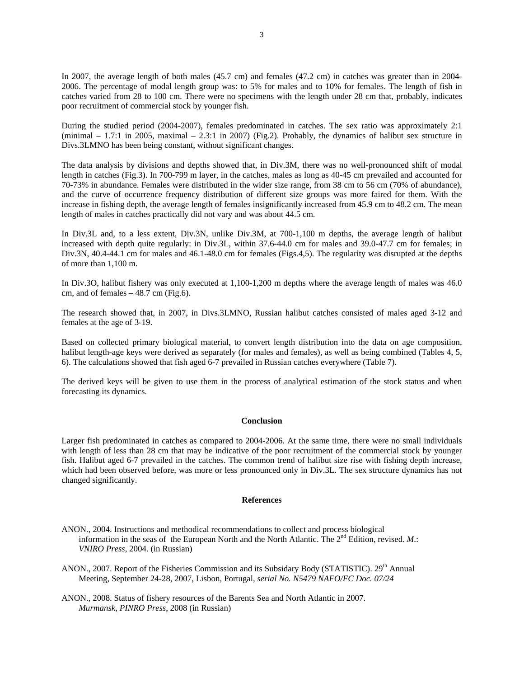In 2007, the average length of both males (45.7 cm) and females (47.2 cm) in catches was greater than in 2004- 2006. The percentage of modal length group was: to 5% for males and to 10% for females. The length of fish in catches varied from 28 to 100 cm. There were no specimens with the length under 28 cm that, probably, indicates poor recruitment of commercial stock by younger fish.

During the studied period (2004-2007), females predominated in catches. The sex ratio was approximately 2:1 (minimal – 1.7:1 in 2005, maximal – 2.3:1 in 2007) (Fig.2). Probably, the dynamics of halibut sex structure in Divs.3LMNO has been being constant, without significant changes.

The data analysis by divisions and depths showed that, in Div.3M, there was no well-pronounced shift of modal length in catches (Fig.3). In 700-799 m layer, in the catches, males as long as 40-45 cm prevailed and accounted for 70-73% in abundance. Females were distributed in the wider size range, from 38 cm to 56 cm (70% of abundance), and the curve of occurrence frequency distribution of different size groups was more faired for them. With the increase in fishing depth, the average length of females insignificantly increased from 45.9 cm to 48.2 cm. The mean length of males in catches practically did not vary and was about 44.5 cm.

In Div.3L and, to a less extent, Div.3N, unlike Div.3M, at 700-1,100 m depths, the average length of halibut increased with depth quite regularly: in Div.3L, within 37.6-44.0 cm for males and 39.0-47.7 cm for females; in Div.3N, 40.4-44.1 cm for males and 46.1-48.0 cm for females (Figs.4,5). The regularity was disrupted at the depths of more than 1,100 m.

In Div.3O, halibut fishery was only executed at 1,100-1,200 m depths where the average length of males was 46.0 cm, and of females  $-48.7$  cm (Fig.6).

The research showed that, in 2007, in Divs.3LMNO, Russian halibut catches consisted of males aged 3-12 and females at the age of 3-19.

Based on collected primary biological material, to convert length distribution into the data on age composition, halibut length-age keys were derived as separately (for males and females), as well as being combined (Tables 4, 5, 6). The calculations showed that fish aged 6-7 prevailed in Russian catches everywhere (Table 7).

The derived keys will be given to use them in the process of analytical estimation of the stock status and when forecasting its dynamics.

### **Conclusion**

Larger fish predominated in catches as compared to 2004-2006. At the same time, there were no small individuals with length of less than 28 cm that may be indicative of the poor recruitment of the commercial stock by younger fish. Halibut aged 6-7 prevailed in the catches. The common trend of halibut size rise with fishing depth increase, which had been observed before, was more or less pronounced only in Div.3L. The sex structure dynamics has not changed significantly.

#### **References**

ANON., 2004. Instructions and methodical recommendations to collect and process biological information in the seas of the European North and the North Atlantic. The 2<sup>nd</sup> Edition, revised. *M*.: *VNIRO Press*, 2004. (in Russian)

ANON., 2007. Report of the Fisheries Commission and its Subsidary Body (STATISTIC). 29<sup>th</sup> Annual Meeting, September 24-28, 2007, Lisbon, Portugal, *serial No. N5479 NAFO/FC Doc. 07/24*

ANON., 2008. Status of fishery resources of the Barents Sea and North Atlantic in 2007. *Murmansk, PINRO Press*, 2008 (in Russian)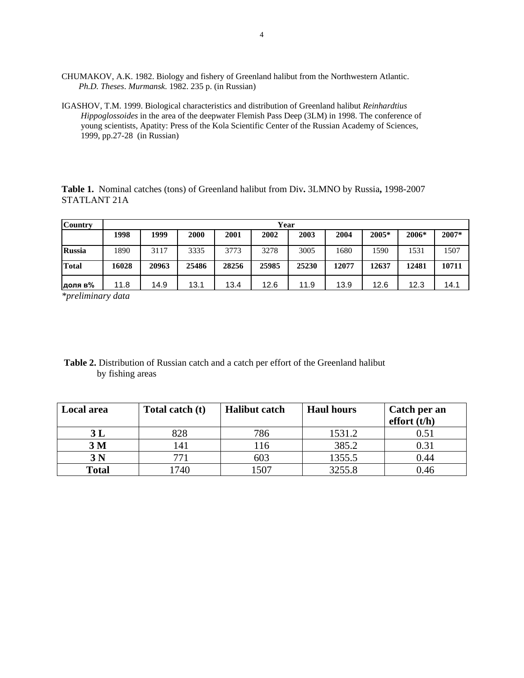- CHUMAKOV, A.K. 1982. Biology and fishery of Greenland halibut from the Northwestern Atlantic. *Ph.D. Theses*. *Murmansk*. 1982. 235 p. (in Russian)
- IGASHOV, T.M. 1999. Biological characteristics and distribution of Greenland halibut *Reinhardtius Hippoglossoides* in the area of the deepwater Flemish Pass Deep (3LM) in 1998. The conference of young scientists, Apatity: Press of the Kola Scientific Center of the Russian Academy of Sciences, 1999, pp.27-28 (in Russian)

**Table 1.** Nominal catches (tons) of Greenland halibut from Div**.** 3LMNO by Russia**,** 1998-2007 STATLANT 21A

| <b>Country</b> |       | Year  |       |       |       |       |       |       |       |       |  |  |
|----------------|-------|-------|-------|-------|-------|-------|-------|-------|-------|-------|--|--|
|                | 1998  | 1999  | 2000  | 2001  | 2002  | 2003  | 2004  | 2005* | 2006* | 2007* |  |  |
| <b>Russia</b>  | 1890  | 3117  | 3335  | 3773  | 3278  | 3005  | 1680  | 1590  | 1531  | 1507  |  |  |
| <b>Total</b>   | 16028 | 20963 | 25486 | 28256 | 25985 | 25230 | 12077 | 12637 | 12481 | 10711 |  |  |
| доля в%        | 11.8  | 14.9  | 13.1  | 13.4  | 12.6  | 11.9  | 13.9  | 12.6  | 12.3  | 14.1  |  |  |

*\*preliminary data* 

 **Table 2.** Distribution of Russian catch and a catch per effort of the Greenland halibut by fishing areas

| Local area     | Total catch (t) | <b>Halibut catch</b> | <b>Haul hours</b> | Catch per an<br>effort (t/h) |
|----------------|-----------------|----------------------|-------------------|------------------------------|
| 3L             | 828             | 786                  | 1531.2            | 0.51                         |
| 3 <sub>M</sub> | 141             | <sup>16</sup>        | 385.2             | 0.31                         |
| 3 <sub>N</sub> | 77 <sub>1</sub> | 603                  | 1355.5            | 0.44                         |
| <b>Total</b>   | 1740            | 1507                 | 3255.8            | 0.46                         |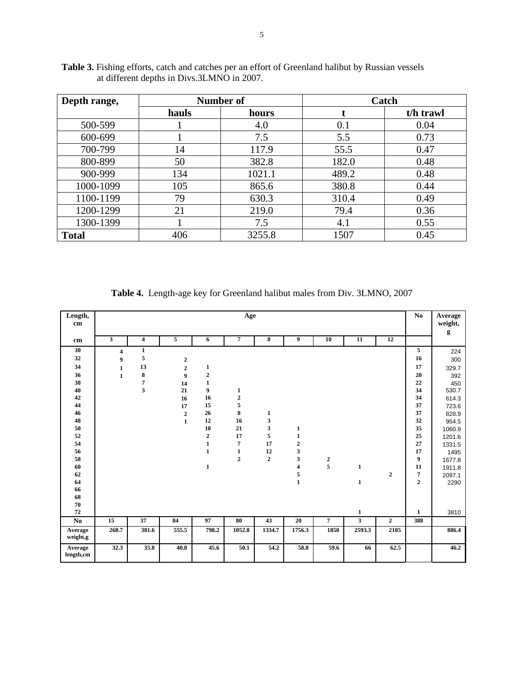| Depth range, |       | Number of | Catch |           |  |  |  |
|--------------|-------|-----------|-------|-----------|--|--|--|
|              | hauls | hours     |       | t/h trawl |  |  |  |
| 500-599      |       | 4.0       | 0.1   | 0.04      |  |  |  |
| 600-699      |       | 7.5       | 5.5   | 0.73      |  |  |  |
| 700-799      | 14    | 117.9     | 55.5  | 0.47      |  |  |  |
| 800-899      | 50    | 382.8     | 182.0 | 0.48      |  |  |  |
| 900-999      | 134   | 1021.1    | 489.2 | 0.48      |  |  |  |
| 1000-1099    | 105   | 865.6     | 380.8 | 0.44      |  |  |  |
| 1100-1199    | 79    | 630.3     | 310.4 | 0.49      |  |  |  |
| 1200-1299    | 21    | 219.0     | 79.4  | 0.36      |  |  |  |
| 1300-1399    |       | 7.5       | 4.1   | 0.55      |  |  |  |
| <b>Total</b> | 406   | 3255.8    | 1507  | 0.45      |  |  |  |

**Table 3.** Fishing efforts, catch and catches per an effort of Greenland halibut by Russian vessels at different depths in Divs.3LMNO in 2007.

**Table 4.** Length-age key for Greenland halibut males from Div. 3LMNO, 2007

| Length,<br>cm        | Age                     |                         |                  |                  |                |             |                         |                  |                         |                  |                         | Average<br>weight,<br>g |
|----------------------|-------------------------|-------------------------|------------------|------------------|----------------|-------------|-------------------------|------------------|-------------------------|------------------|-------------------------|-------------------------|
| cm                   | $\mathbf{3}$            | $\overline{\mathbf{4}}$ | 5                | 6                | 7              | 8           | 9                       | 10               | 11                      | 12               |                         |                         |
| 30                   | $\overline{\mathbf{4}}$ | $\mathbf{1}$            |                  |                  |                |             |                         |                  |                         |                  | 5                       | 224                     |
| 32                   | $\boldsymbol{9}$        | 5                       | $\mathbf 2$      |                  |                |             |                         |                  |                         |                  | 16                      | 300                     |
| 34                   | $\mathbf{1}$            | 13                      | $\overline{2}$   | 1                |                |             |                         |                  |                         |                  | 17                      | 329.7                   |
| 36                   | $\mathbf{1}$            | 8                       | $\boldsymbol{9}$ | $\boldsymbol{2}$ |                |             |                         |                  |                         |                  | 20                      | 392                     |
| 38                   |                         | $\overline{7}$          | 14               | $\mathbf{1}$     |                |             |                         |                  |                         |                  | 22                      | 450                     |
| 40                   |                         | $\overline{\mathbf{3}}$ | 21               | 9                | 1              |             |                         |                  |                         |                  | 34                      | 530.7                   |
| 42                   |                         |                         | 16               | 16               | $\mathbf{2}$   |             |                         |                  |                         |                  | 34                      | 614.3                   |
| 44                   |                         |                         | 17               | 15               | 5              |             |                         |                  |                         |                  | 37                      | 723.6                   |
| 46                   |                         |                         | $\overline{2}$   | 26               | 8              | 1           |                         |                  |                         |                  | 37                      | 828.9                   |
| 48                   |                         |                         | $\mathbf{1}$     | 12               | 16             | 3           |                         |                  |                         |                  | 32                      | 954.5                   |
| 50                   |                         |                         |                  | 10               | 21             | 3           | 1                       |                  |                         |                  | 35                      | 1060.9                  |
| 52                   |                         |                         |                  | $\boldsymbol{2}$ | 17             | 5           | $\mathbf 1$             |                  |                         |                  | 25                      | 1201.6                  |
| 54                   |                         |                         |                  | $\mathbf{1}$     | $\overline{7}$ | 17          | $\boldsymbol{2}$        |                  |                         |                  | 27                      | 1331.5                  |
| 56                   |                         |                         |                  | $\mathbf{1}$     | $\mathbf{1}$   | 12          | 3                       |                  |                         |                  | 17                      | 1495                    |
| 58                   |                         |                         |                  |                  | $\overline{2}$ | $\mathbf 2$ | 3                       | $\boldsymbol{2}$ |                         |                  | 9                       | 1677.8                  |
| 60                   |                         |                         |                  | $\mathbf{1}$     |                |             | $\overline{\mathbf{4}}$ | 5                | $\mathbf{1}$            |                  | 11                      | 1911.8                  |
| 62                   |                         |                         |                  |                  |                |             | 5                       |                  |                         | $\boldsymbol{2}$ | $\overline{\mathbf{7}}$ | 2097.1                  |
| 64                   |                         |                         |                  |                  |                |             | $\mathbf{1}$            |                  | $\mathbf{1}$            |                  | $\overline{2}$          | 2290                    |
| 66                   |                         |                         |                  |                  |                |             |                         |                  |                         |                  |                         |                         |
| 68                   |                         |                         |                  |                  |                |             |                         |                  |                         |                  |                         |                         |
| 70                   |                         |                         |                  |                  |                |             |                         |                  |                         |                  |                         |                         |
| 72                   |                         |                         |                  |                  |                |             |                         |                  | $\mathbf{1}$            |                  | $\mathbf{1}$            | 3810                    |
| No                   | 15                      | 37                      | 84               | 97               | 80             | 43          | 20                      | $\overline{7}$   | $\overline{\mathbf{3}}$ | $\overline{2}$   | 388                     |                         |
| Average<br>weight,g  | 268.7                   | 381.6                   | 555.5            | 798.2            | 1052.8         | 1334.7      | 1756.3                  | 1850             | 2593.3                  | 2105             |                         | 886.4                   |
| Average<br>length,cm | 32.3                    | 35.8                    | 40.8             | 45.6             | 50.1           | 54.2        | 58.8                    | 59.6             | 66                      | 62.5             |                         | 46.2                    |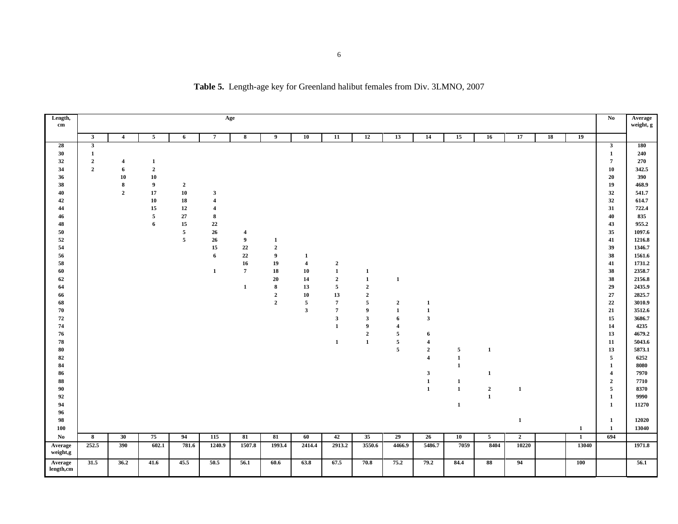| Length,              |                  |                         |                  |                |                         | Age                     |                        |                                         |                         |                |                |                              |                   |                 |                |    |              | No                                      | Average          |
|----------------------|------------------|-------------------------|------------------|----------------|-------------------------|-------------------------|------------------------|-----------------------------------------|-------------------------|----------------|----------------|------------------------------|-------------------|-----------------|----------------|----|--------------|-----------------------------------------|------------------|
| $\mathbf{cm}$        |                  |                         |                  |                |                         |                         |                        |                                         |                         |                |                |                              |                   |                 |                |    |              |                                         | weight, g        |
|                      | $\mathbf{3}$     | $\overline{4}$          | $\overline{5}$   | 6              | $\overline{7}$          | 8                       | 9                      | 10                                      | 11                      | 12             | 13             | 14                           | 15                | 16              | 17             | 18 | 19           |                                         |                  |
| 28                   | $\mathbf{3}$     |                         |                  |                |                         |                         |                        |                                         |                         |                |                |                              |                   |                 |                |    |              | $\mathbf{3}$                            | <b>180</b>       |
| 30<br>32             | 1<br>$\mathbf 2$ | $\overline{\mathbf{4}}$ | $\mathbf{1}$     |                |                         |                         |                        |                                         |                         |                |                |                              |                   |                 |                |    |              | $\mathbf{1}$<br>$\overline{7}$          | 240<br>$270\,$   |
| 34                   | $\overline{2}$   | 6                       | $\mathbf{2}$     |                |                         |                         |                        |                                         |                         |                |                |                              |                   |                 |                |    |              | 10                                      | 342.5            |
| 36                   |                  | 10                      | 10               |                |                         |                         |                        |                                         |                         |                |                |                              |                   |                 |                |    |              | 20                                      | 390              |
| 38                   |                  | ${\bf 8}$               | $\boldsymbol{9}$ | $\overline{2}$ |                         |                         |                        |                                         |                         |                |                |                              |                   |                 |                |    |              | 19                                      | 468.9            |
| 40                   |                  | $\mathbf{2}$            | 17               | ${\bf 10}$     | $\mathbf{3}$            |                         |                        |                                         |                         |                |                |                              |                   |                 |                |    |              | 32                                      | 541.7            |
| 42                   |                  |                         | ${\bf 10}$       | 18             | $\overline{\mathbf{4}}$ |                         |                        |                                         |                         |                |                |                              |                   |                 |                |    |              | 32                                      | 614.7            |
| 44                   |                  |                         | 15               | $\bf{12}$      | $\overline{\mathbf{4}}$ |                         |                        |                                         |                         |                |                |                              |                   |                 |                |    |              | 31                                      | 722.4            |
| 46                   |                  |                         | $\mathfrak{s}$   | $27\,$         | $\bf8$                  |                         |                        |                                         |                         |                |                |                              |                   |                 |                |    |              | 40                                      | 835              |
| 48                   |                  |                         | 6                | 15             | 22                      |                         |                        |                                         |                         |                |                |                              |                   |                 |                |    |              | 43                                      | 955.2            |
| 50                   |                  |                         |                  | $\overline{5}$ | 26                      | $\overline{\mathbf{4}}$ |                        |                                         |                         |                |                |                              |                   |                 |                |    |              | 35                                      | 1097.6           |
| 52                   |                  |                         |                  | $\overline{5}$ | 26                      | 9                       | 1                      |                                         |                         |                |                |                              |                   |                 |                |    |              | 41                                      | 1216.8           |
| 54                   |                  |                         |                  |                | 15                      | $22\,$                  | $\mathbf{2}$           |                                         |                         |                |                |                              |                   |                 |                |    |              | 39                                      | 1346.7           |
| 56<br>58             |                  |                         |                  |                | 6                       | $\bf 22$<br>16          | $\boldsymbol{9}$<br>19 | $\mathbf{1}$<br>$\overline{\mathbf{4}}$ | $\overline{2}$          |                |                |                              |                   |                 |                |    |              | 38<br>41                                | 1561.6<br>1731.2 |
| 60                   |                  |                         |                  |                | $\mathbf{1}$            | $\overline{7}$          | 18                     | 10                                      | $\mathbf 1$             | 1              |                |                              |                   |                 |                |    |              | 38                                      | 2358.7           |
| 62                   |                  |                         |                  |                |                         |                         | 20                     | 14                                      | $\boldsymbol{2}$        | $\mathbf{1}$   | 1              |                              |                   |                 |                |    |              | 38                                      | 2156.8           |
| 64                   |                  |                         |                  |                |                         | $\mathbf{1}$            | 8                      | 13                                      | $\overline{5}$          | $\overline{2}$ |                |                              |                   |                 |                |    |              | 29                                      | 2435.9           |
| 66                   |                  |                         |                  |                |                         |                         | $\mathbf{2}$           | ${\bf 10}$                              | $13\,$                  | $\mathbf{2}$   |                |                              |                   |                 |                |    |              | 27                                      | 2825.7           |
| 68                   |                  |                         |                  |                |                         |                         | $\mathbf{2}$           | 5                                       | $\overline{7}$          | $\overline{5}$ | $\mathbf{2}$   | $\mathbf{1}$                 |                   |                 |                |    |              | 22                                      | 3010.9           |
| 70                   |                  |                         |                  |                |                         |                         |                        | $\mathbf{3}$                            | $\overline{7}$          | 9              | 1              | $\mathbf{1}$                 |                   |                 |                |    |              | 21                                      | 3512.6           |
| 72                   |                  |                         |                  |                |                         |                         |                        |                                         | $\overline{\mathbf{3}}$ | $\mathbf{3}$   | 6              | $\mathbf{3}$                 |                   |                 |                |    |              | 15                                      | 3686.7           |
| 74                   |                  |                         |                  |                |                         |                         |                        |                                         | $\mathbf{1}$            | 9              | $\overline{4}$ |                              |                   |                 |                |    |              | 14                                      | 4235             |
| 76                   |                  |                         |                  |                |                         |                         |                        |                                         |                         | $\mathbf 2$    | $\sqrt{5}$     | 6                            |                   |                 |                |    |              | 13                                      | 4679.2           |
| ${\bf 78}$           |                  |                         |                  |                |                         |                         |                        |                                         | $\mathbf{1}$            | $\mathbf{1}$   | $\sqrt{5}$     | $\overline{\mathbf{4}}$      |                   |                 |                |    |              | 11                                      | 5043.6           |
| 80                   |                  |                         |                  |                |                         |                         |                        |                                         |                         |                | $\overline{5}$ | $\mathbf{2}$                 | 5                 | $\mathbf{1}$    |                |    |              | 13                                      | 5873.1           |
| 82                   |                  |                         |                  |                |                         |                         |                        |                                         |                         |                |                | $\overline{4}$               | $\mathbf{1}$      |                 |                |    |              | 5                                       | 6252             |
| 84                   |                  |                         |                  |                |                         |                         |                        |                                         |                         |                |                |                              | $\mathbf 1$       |                 |                |    |              | $\mathbf{1}$                            | 8080             |
| 86<br>88             |                  |                         |                  |                |                         |                         |                        |                                         |                         |                |                | $\mathbf{3}$<br>$\mathbf{1}$ |                   | $\mathbf{1}$    |                |    |              | $\overline{\mathbf{4}}$<br>$\mathbf{2}$ | 7970<br>7710     |
| 90                   |                  |                         |                  |                |                         |                         |                        |                                         |                         |                |                | $\mathbf{1}$                 | 1<br>$\mathbf{1}$ | $\overline{2}$  | -1             |    |              | 5                                       | 8370             |
| 92                   |                  |                         |                  |                |                         |                         |                        |                                         |                         |                |                |                              |                   | $\mathbf{1}$    |                |    |              | $\mathbf{1}$                            | 9990             |
| 94                   |                  |                         |                  |                |                         |                         |                        |                                         |                         |                |                |                              | $\mathbf{1}$      |                 |                |    |              | $\mathbf{1}$                            | 11270            |
| 96                   |                  |                         |                  |                |                         |                         |                        |                                         |                         |                |                |                              |                   |                 |                |    |              |                                         |                  |
| 98                   |                  |                         |                  |                |                         |                         |                        |                                         |                         |                |                |                              |                   |                 | $\mathbf{1}$   |    |              | $\mathbf{1}$                            | 12020            |
| 100                  |                  |                         |                  |                |                         |                         |                        |                                         |                         |                |                |                              |                   |                 |                |    | $\mathbf{1}$ | $\mathbf{1}$                            | 13040            |
| No.                  | $\bf8$           | 30                      | 75               | 94             | 115                     | 81                      | 81                     | 60                                      | 42                      | 35             | 29             | 26                           | 10                | $5\phantom{.0}$ | $\overline{2}$ |    | $\mathbf{1}$ | 694                                     |                  |
| Average<br>weight,g  | 252.5            | 390                     | 602.1            | 781.6          | 1240.9                  | 1507.8                  | 1993.4                 | 2414.4                                  | 2913.2                  | 3550.6         | 4466.9         | 5486.7                       | 7059              | 8404            | 10220          |    | 13040        |                                         | 1971.8           |
| Average<br>length,cm | 31.5             | 36.2                    | 41.6             | 45.5           | 50.5                    | 56.1                    | 60.6                   | 63.8                                    | 67.5                    | 70.8           | 75.2           | 79.2                         | 84.4              | 88              | 94             |    | 100          |                                         | 56.1             |
|                      |                  |                         |                  |                |                         |                         |                        |                                         |                         |                |                |                              |                   |                 |                |    |              |                                         |                  |

**Table 5.** Length-age key for Greenland halibut females from Div. 3LMNO, 2007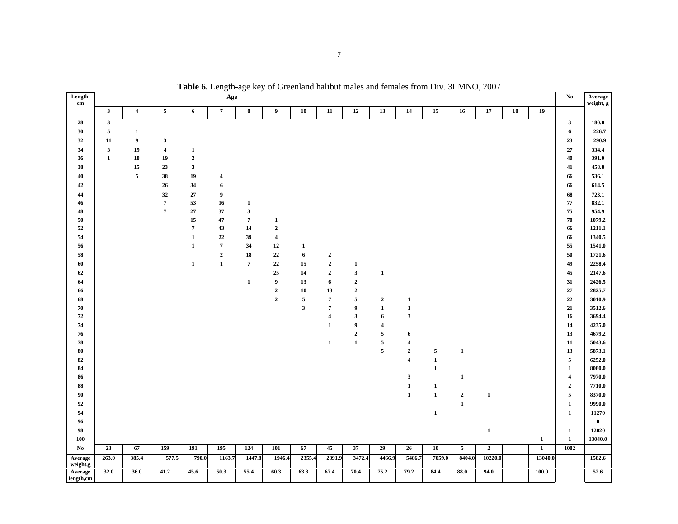| Length,              |                         |                                  |                                  |                             | Age            |                              |                         |                                       |                                  |                            |                          |                             |                |                         |                |            |                | $\mathbf{N}\mathbf{o}$  | Average<br>weight, g |
|----------------------|-------------------------|----------------------------------|----------------------------------|-----------------------------|----------------|------------------------------|-------------------------|---------------------------------------|----------------------------------|----------------------------|--------------------------|-----------------------------|----------------|-------------------------|----------------|------------|----------------|-------------------------|----------------------|
| $\mathbf{cm}$        | $\mathbf{3}$            | $\overline{\mathbf{4}}$          | $\overline{5}$                   | 6                           | $\overline{7}$ | $\bf8$                       | 9                       | ${\bf 10}$                            | 11                               | 12                         | 13                       | 14                          | 15             | 16                      | 17             | ${\bf 18}$ | 19             |                         |                      |
| 28                   | $\overline{\mathbf{3}}$ |                                  |                                  |                             |                |                              |                         |                                       |                                  |                            |                          |                             |                |                         |                |            |                | $\overline{\mathbf{3}}$ | 180.0                |
| 30                   | $\sqrt{5}$              |                                  |                                  |                             |                |                              |                         |                                       |                                  |                            |                          |                             |                |                         |                |            |                | 6                       | 226.7                |
| 32                   | ${\bf 11}$              | $\mathbf{1}$<br>$\boldsymbol{9}$ |                                  |                             |                |                              |                         |                                       |                                  |                            |                          |                             |                |                         |                |            |                |                         |                      |
|                      | $\overline{\mathbf{3}}$ |                                  | $\mathbf 3$                      |                             |                |                              |                         |                                       |                                  |                            |                          |                             |                |                         |                |            |                | 23<br>27                | 290.9                |
| 34                   | $\mathbf 1$             | 19<br>18                         | $\overline{\mathbf{4}}$<br>19    | $\mathbf{1}$<br>$\mathbf 2$ |                |                              |                         |                                       |                                  |                            |                          |                             |                |                         |                |            |                | 40                      | 334.4<br>391.0       |
| 36<br>38             |                         | 15                               | 23                               | $\overline{\mathbf{3}}$     |                |                              |                         |                                       |                                  |                            |                          |                             |                |                         |                |            |                |                         | 458.8                |
| 40                   |                         | $\sqrt{5}$                       | 38                               | 19                          |                |                              |                         |                                       |                                  |                            |                          |                             |                |                         |                |            |                | 41<br>66                | 536.1                |
|                      |                         |                                  |                                  |                             | 4              |                              |                         |                                       |                                  |                            |                          |                             |                |                         |                |            |                |                         |                      |
| $\bf{42}$            |                         |                                  | 26                               | 34                          | 6              |                              |                         |                                       |                                  |                            |                          |                             |                |                         |                |            |                | 66                      | 614.5                |
| 44                   |                         |                                  | 32                               | 27                          | 9              |                              |                         |                                       |                                  |                            |                          |                             |                |                         |                |            |                | 68                      | 723.1                |
| 46<br>48             |                         |                                  | $\overline{7}$<br>$\overline{7}$ | 53<br>27                    | 16<br>37       | $\mathbf{1}$<br>$\mathbf{3}$ |                         |                                       |                                  |                            |                          |                             |                |                         |                |            |                | 77<br>75                | 832.1<br>954.9       |
| ${\bf 50}$           |                         |                                  |                                  | ${\bf 15}$                  | 47             | $\overline{7}$               | $\mathbf{1}$            |                                       |                                  |                            |                          |                             |                |                         |                |            |                | 70                      | 1079.2               |
| $52\,$               |                         |                                  |                                  | $\overline{7}$              | 43             | 14                           | $\boldsymbol{2}$        |                                       |                                  |                            |                          |                             |                |                         |                |            |                | 66                      | 1211.1               |
| 54                   |                         |                                  |                                  | $\mathbf 1$                 | $22\,$         | 39                           | $\overline{\mathbf{4}}$ |                                       |                                  |                            |                          |                             |                |                         |                |            |                | 66                      | 1340.5               |
| 56                   |                         |                                  |                                  | $\mathbf 1$                 | $\overline{7}$ | 34                           | 12                      | $\mathbf{1}$                          |                                  |                            |                          |                             |                |                         |                |            |                | 55                      | 1541.0               |
|                      |                         |                                  |                                  |                             | $\mathbf 2$    |                              |                         |                                       |                                  |                            |                          |                             |                |                         |                |            |                |                         |                      |
| 58<br>60             |                         |                                  |                                  |                             |                | 18<br>$\overline{7}$         | $22\,$                  | $\bf{6}$<br>15                        | $\mathbf 2$<br>$\mathbf 2$       |                            |                          |                             |                |                         |                |            |                | 50                      | 1721.6<br>2258.4     |
|                      |                         |                                  |                                  | $\mathbf{1}$                | $\mathbf 1$    |                              | $22\,$                  |                                       |                                  | $\mathbf{1}$               |                          |                             |                |                         |                |            |                | 49                      |                      |
| 62                   |                         |                                  |                                  |                             |                |                              | 25                      | 14                                    | $\mathbf 2$                      | $\mathbf 3$                | $\mathbf 1$              |                             |                |                         |                |            |                | 45                      | 2147.6               |
| 64                   |                         |                                  |                                  |                             |                | $\mathbf{1}$                 | $\boldsymbol{9}$        | 13                                    | 6                                | $\mathbf 2$                |                          |                             |                |                         |                |            |                | 31                      | 2426.5               |
| 66                   |                         |                                  |                                  |                             |                |                              | $\mathbf{2}$            | 10                                    | 13                               | $\mathbf 2$                |                          |                             |                |                         |                |            |                | 27                      | 2825.7               |
| 68                   |                         |                                  |                                  |                             |                |                              | $\overline{2}$          | $\sqrt{5}$<br>$\overline{\mathbf{3}}$ | $\overline{7}$<br>$\overline{7}$ | $\sqrt{5}$<br>9            | $\mathbf{2}$             | $\mathbf{1}$                |                |                         |                |            |                | 22<br>21                | 3010.9               |
| 70<br>$\bf 72$       |                         |                                  |                                  |                             |                |                              |                         |                                       | $\boldsymbol{4}$                 | $\mathbf 3$                | $\mathbf{1}$             | $\mathbf 1$<br>$\mathbf{3}$ |                |                         |                |            |                | 16                      | 3512.6<br>3694.4     |
| 74                   |                         |                                  |                                  |                             |                |                              |                         |                                       |                                  |                            | 6                        |                             |                |                         |                |            |                |                         |                      |
|                      |                         |                                  |                                  |                             |                |                              |                         |                                       | $\mathbf{1}$                     | 9                          | $\overline{\mathbf{4}}$  |                             |                |                         |                |            |                | 14<br>13                | 4235.0<br>4679.2     |
| 76<br>78             |                         |                                  |                                  |                             |                |                              |                         |                                       | $\mathbf{1}$                     | $\mathbf 2$<br>$\mathbf 1$ | $\sqrt{5}$<br>$\sqrt{5}$ | 6<br>$\boldsymbol{4}$       |                |                         |                |            |                | 11                      | 5043.6               |
| $\bf 80$             |                         |                                  |                                  |                             |                |                              |                         |                                       |                                  |                            | $\sqrt{5}$               | $\mathbf 2$                 | $\overline{5}$ | $\mathbf 1$             |                |            |                | 13                      | 5873.1               |
| 82                   |                         |                                  |                                  |                             |                |                              |                         |                                       |                                  |                            |                          | $\overline{\mathbf{4}}$     | $\mathbf 1$    |                         |                |            |                | $\overline{\mathbf{5}}$ | 6252.0               |
| 84                   |                         |                                  |                                  |                             |                |                              |                         |                                       |                                  |                            |                          |                             | $\mathbf 1$    |                         |                |            |                | $\mathbf{1}$            | 8080.0               |
| 86                   |                         |                                  |                                  |                             |                |                              |                         |                                       |                                  |                            |                          | $\mathbf{3}$                |                | $\mathbf{1}$            |                |            |                | $\overline{\mathbf{4}}$ | 7970.0               |
| ${\bf 88}$           |                         |                                  |                                  |                             |                |                              |                         |                                       |                                  |                            |                          | $\mathbf 1$                 | $\mathbf 1$    |                         |                |            |                | $\mathbf{2}$            | 7710.0               |
| 90                   |                         |                                  |                                  |                             |                |                              |                         |                                       |                                  |                            |                          | $\mathbf{1}$                | $\mathbf 1$    | $\mathbf 2$             | $\mathbf{1}$   |            |                | $\mathfrak{s}$          | 8370.0               |
| $\bf{92}$            |                         |                                  |                                  |                             |                |                              |                         |                                       |                                  |                            |                          |                             |                | $\mathbf 1$             |                |            |                | $\mathbf{1}$            | 9990.0               |
| 94                   |                         |                                  |                                  |                             |                |                              |                         |                                       |                                  |                            |                          |                             | $\mathbf 1$    |                         |                |            |                |                         |                      |
| 96                   |                         |                                  |                                  |                             |                |                              |                         |                                       |                                  |                            |                          |                             |                |                         |                |            |                | $\mathbf{1}$            | 11270<br>$\bf{0}$    |
| 98                   |                         |                                  |                                  |                             |                |                              |                         |                                       |                                  |                            |                          |                             |                |                         |                |            |                | $\mathbf{1}$            | 12020                |
| 100                  |                         |                                  |                                  |                             |                |                              |                         |                                       |                                  |                            |                          |                             |                |                         | $\mathbf{1}$   |            | $\mathbf{1}$   | $\mathbf{1}$            | 13040.0              |
| $\mathbf{No}$        | 23                      | 67                               | 159                              | 191                         | 195            | 124                          | 101                     | 67                                    | 45                               | 37                         | 29                       | 26                          | ${\bf 10}$     | $\overline{\mathbf{5}}$ | $\overline{2}$ |            | $\overline{1}$ | 1082                    |                      |
| Average              | 263.0                   | 385.4                            | 577.5                            | 790.0                       | 1163.7         | 1447.8                       | 1946.4                  | 2355.4                                | 2891.9                           | 3472.4                     | 4466.9                   | 5486.7                      | 7059.0         | 8404.0                  | 10220.0        |            | 13040.0        |                         | 1582.6               |
| weight,g             |                         |                                  |                                  |                             |                |                              |                         |                                       |                                  |                            |                          |                             |                |                         |                |            |                |                         |                      |
| Average<br>length,cm | 32.0                    | 36.0                             | 41.2                             | 45.6                        | 50.3           | 55.4                         | 60.3                    | 63.3                                  | 67.4                             | 70.4                       | 75.2                     | 79.2                        | 84.4           | 88.0                    | 94.0           |            | 100.0          |                         | 52.6                 |

**Table 6.** Length-age key of Greenland halibut males and females from Div. 3LMNO, 2007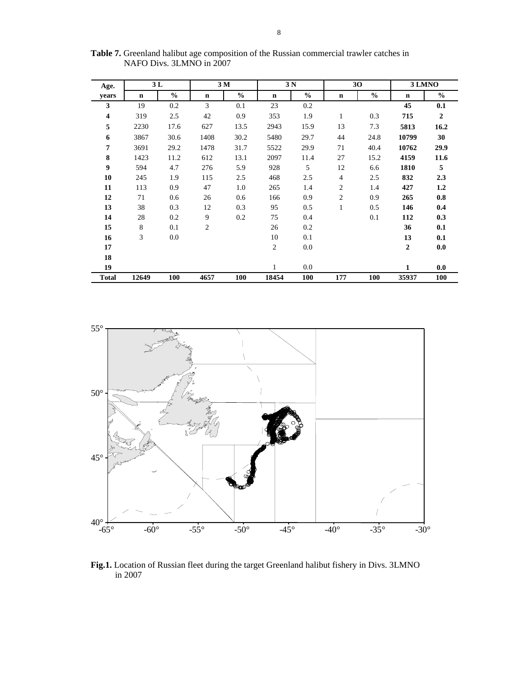| Age.                    |       | 3L            |             | 3 M           |       | 3 <sub>N</sub> |                | 30            |                  | 3 LMNO         |  |  |
|-------------------------|-------|---------------|-------------|---------------|-------|----------------|----------------|---------------|------------------|----------------|--|--|
| years                   | n     | $\frac{6}{6}$ | $\mathbf n$ | $\frac{6}{6}$ | n     | $\frac{6}{6}$  | $\mathbf n$    | $\frac{0}{0}$ | $\mathbf n$      | $\%$           |  |  |
| 3                       | 19    | 0.2           | 3           | 0.1           | 23    | 0.2            |                |               | 45               | 0.1            |  |  |
| $\overline{\mathbf{4}}$ | 319   | 2.5           | 42          | 0.9           | 353   | 1.9            | $\mathbf{1}$   | 0.3           | 715              | $\overline{2}$ |  |  |
| 5                       | 2230  | 17.6          | 627         | 13.5          | 2943  | 15.9           | 13             | 7.3           | 5813             | 16.2           |  |  |
| 6                       | 3867  | 30.6          | 1408        | 30.2          | 5480  | 29.7           | 44             | 24.8          | 10799            | 30             |  |  |
| $\overline{7}$          | 3691  | 29.2          | 1478        | 31.7          | 5522  | 29.9           | 71             | 40.4          | 10762            | 29.9           |  |  |
| 8                       | 1423  | 11.2          | 612         | 13.1          | 2097  | 11.4           | 27             | 15.2          | 4159             | 11.6           |  |  |
| 9                       | 594   | 4.7           | 276         | 5.9           | 928   | 5              | 12             | 6.6           | 1810             | 5              |  |  |
| 10                      | 245   | 1.9           | 115         | 2.5           | 468   | 2.5            | $\overline{4}$ | 2.5           | 832              | 2.3            |  |  |
| 11                      | 113   | 0.9           | 47          | 1.0           | 265   | 1.4            | $\overline{c}$ | 1.4           | 427              | 1.2            |  |  |
| 12                      | 71    | 0.6           | 26          | 0.6           | 166   | 0.9            | 2              | 0.9           | 265              | 0.8            |  |  |
| 13                      | 38    | 0.3           | 12          | 0.3           | 95    | 0.5            | $\mathbf{1}$   | 0.5           | 146              | 0.4            |  |  |
| 14                      | 28    | 0.2           | 9           | 0.2           | 75    | 0.4            |                | 0.1           | 112              | 0.3            |  |  |
| 15                      | 8     | 0.1           | 2           |               | 26    | 0.2            |                |               | 36               | 0.1            |  |  |
| 16                      | 3     | 0.0           |             |               | 10    | 0.1            |                |               | 13               | 0.1            |  |  |
| 17                      |       |               |             |               | 2     | 0.0            |                |               | $\boldsymbol{2}$ | 0.0            |  |  |
| 18                      |       |               |             |               |       |                |                |               |                  |                |  |  |
| 19                      |       |               |             |               | 1     | 0.0            |                |               | 1                | 0.0            |  |  |
| <b>Total</b>            | 12649 | 100           | 4657        | 100           | 18454 | 100            | 177            | 100           | 35937            | 100            |  |  |

**Table 7.** Greenland halibut age composition of the Russian commercial trawler catches in NAFO Divs. 3LMNO in 2007



**Fig.1.** Location of Russian fleet during the target Greenland halibut fishery in Divs. 3LMNO in 2007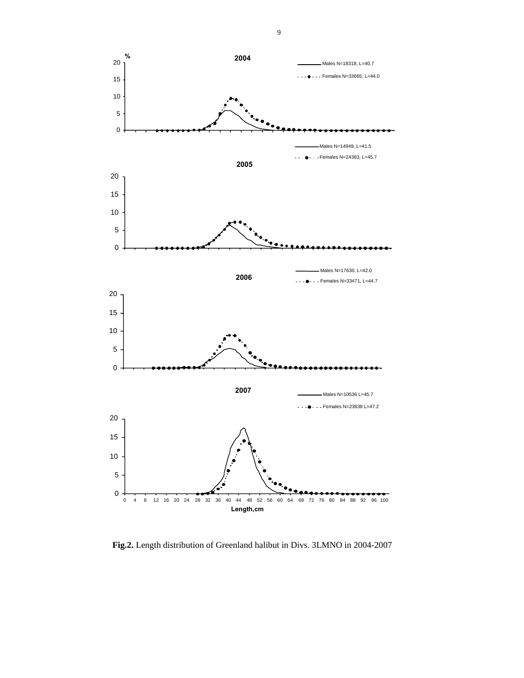

**Fig.2.** Length distribution of Greenland halibut in Divs. 3LMNO in 2004-2007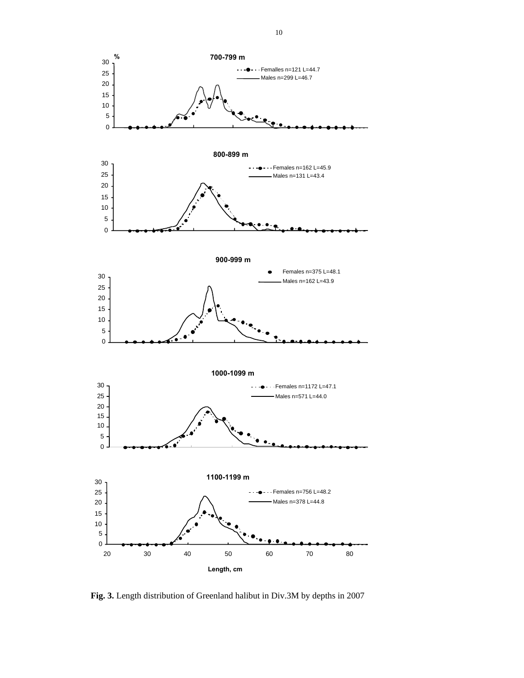

**Fig. 3.** Length distribution of Greenland halibut in Div.3M by depths in 2007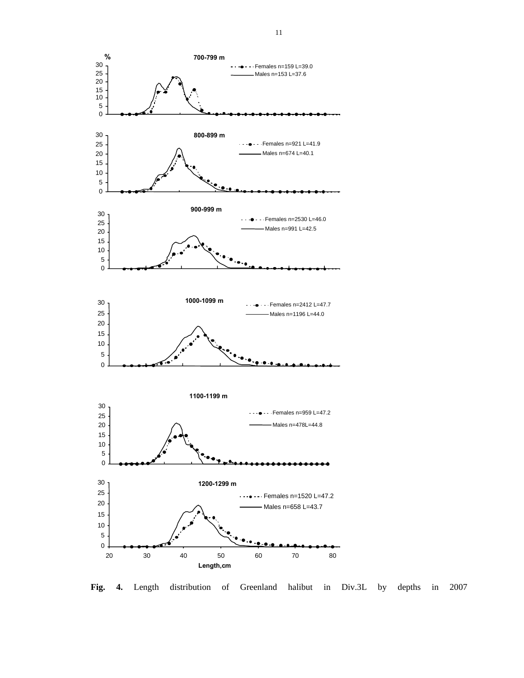

**Fig. 4.** Length distribution of Greenland halibut in Div.3L by depths in 2007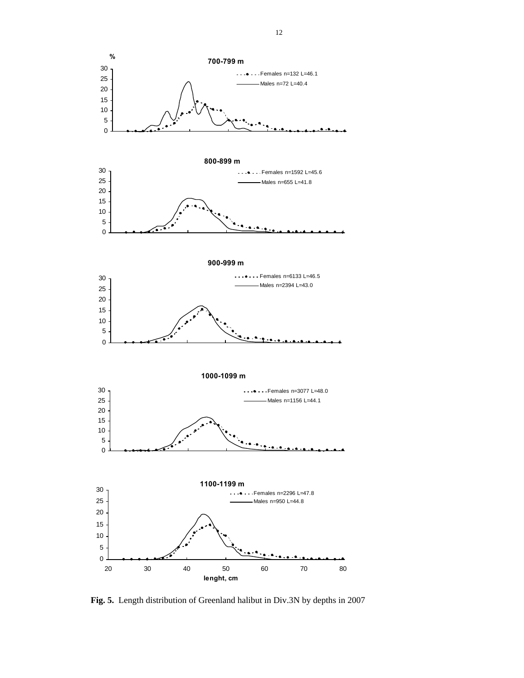

**Fig. 5.** Length distribution of Greenland halibut in Div.3N by depths in 2007